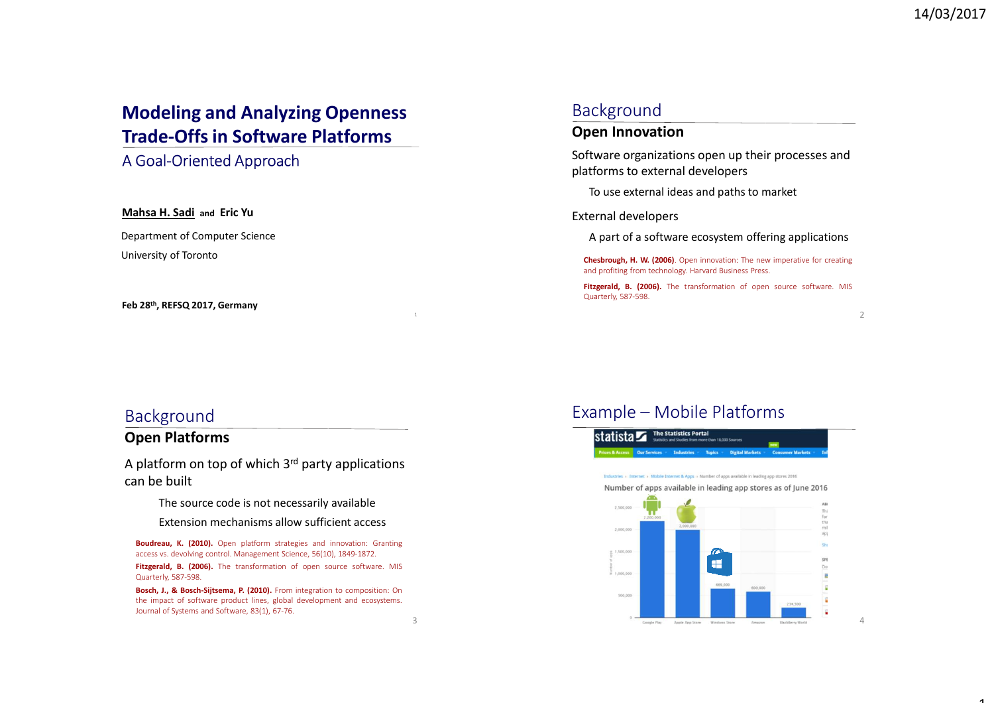## **Modeling and Analyzing Openness Trade-Offs in Software Platforms**

### A Goal-Oriented Approach

#### **Mahsa H. Sadi and Eric Yu**

Department of Computer Science University of Toronto

#### **Feb 28th, REFSQ 2017, Germany**

### Background

#### **Open Innovation**

Software organizations open up their processes and platforms to external developers

To use external ideas and paths to market

#### External developers

A part of a software ecosystem offering applications

**Chesbrough, H. W. (2006)**. Open innovation: The new imperative for creating and profiting from technology. Harvard Business Press.

Fitzgerald, B. (2006). The transformation of open source software. MIS Quarterly, 587-598.

 $\overline{2}$ 

### Background

#### **Open Platforms**

A platform on top of which  $3<sup>rd</sup>$  party applications can be built

The source code is not necessarily available

Extension mechanisms allow sufficient access

**Boudreau, K. (2010).** Open platform strategies and innovation: Granting access vs. devolving control. Management Science, 56(10), 1849-1872.Fitzgerald, B. (2006). The transformation of open source software. MIS Quarterly, 587-598.

**Bosch, J., & Bosch-Sijtsema, P. (2010).** From integration to composition: On the impact of software product lines, global development and ecosystems. Journal of Systems and Software, 83(1), 67-76.

### Example – Mobile Platforms



4

1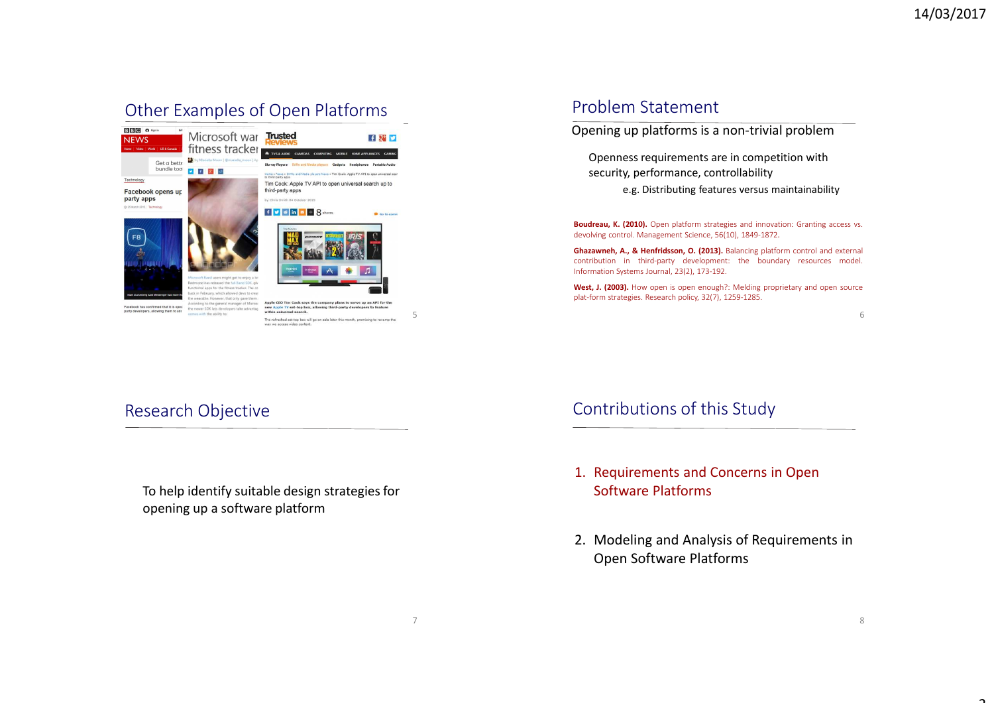## Other Examples of Open Platforms



## Problem Statement

Opening up platforms is a non-trivial problem

Openness requirements are in competition with security, performance, controllability

e.g. Distributing features versus maintainability

**Boudreau, K. (2010).** Open platform strategies and innovation: Granting access vs. devolving control. Management Science, 56(10), 1849-1872.

**Ghazawneh, A., & Henfridsson, O. (2013).** Balancing platform control and external contribution in third-party development: the boundary resources model. Information Systems Journal, 23(2), 173-192.

**West, J. (2003).** How open is open enough?: Melding proprietary and open source plat-form strategies. Research policy, 32(7), 1259-1285.

6

## Research Objective

To help identify suitable design strategies for opening up a software platform

7

## Contributions of this Study

- 1. Requirements and Concerns in Open Software Platforms
- 2. Modeling and Analysis of Requirements in Open Software Platforms

ำ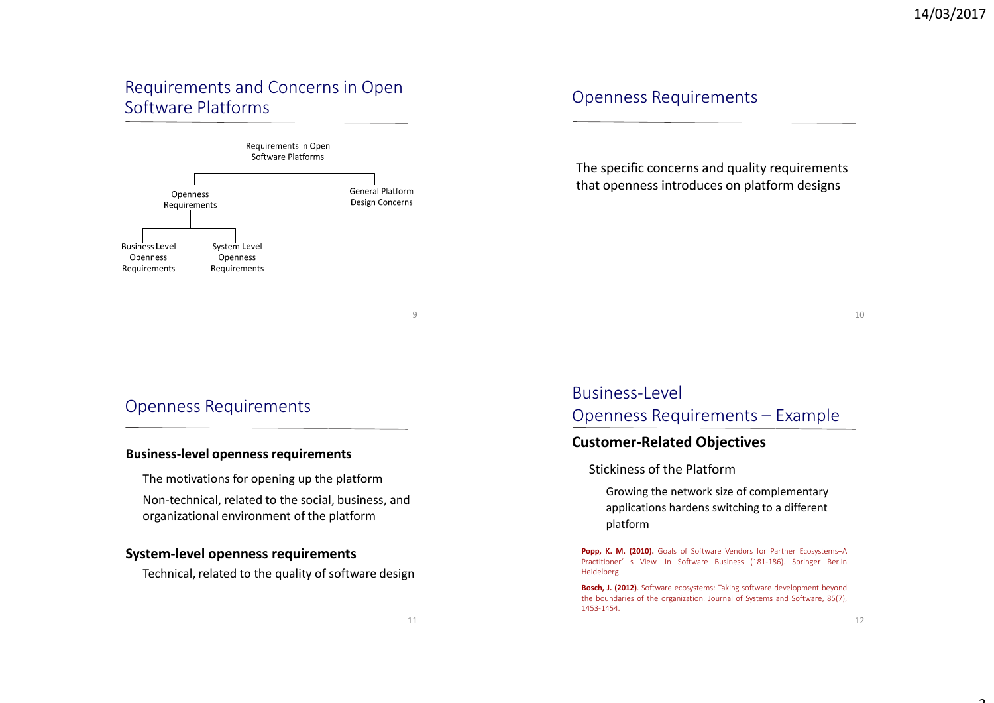## Requirements and Concerns in Open Software Platforms



## Openness Requirements

The specific concerns and quality requirements that openness introduces on platform designs

10

### Openness Requirements

#### **Business-level openness requirements**

The motivations for opening up the platform Non-technical, related to the social, business, andorganizational environment of the platform

### **System-level openness requirements**

Technical, related to the quality of software design

# Business-Level Openness Requirements – Example

### **Customer-Related Objectives**

#### Stickiness of the Platform

 Growing the network size of complementary applications hardens switching to a different platform

Popp, K. M. (2010). Goals of Software Vendors for Partner Ecosystems-A Practitioner´ s View. In Software Business (181-186). Springer Berlin Heidelberg.

**Bosch, J. (2012)**. Software ecosystems: Taking software development beyond the boundaries of the organization. Journal of Systems and Software, 85(7), 1453-1454.

9

ጎ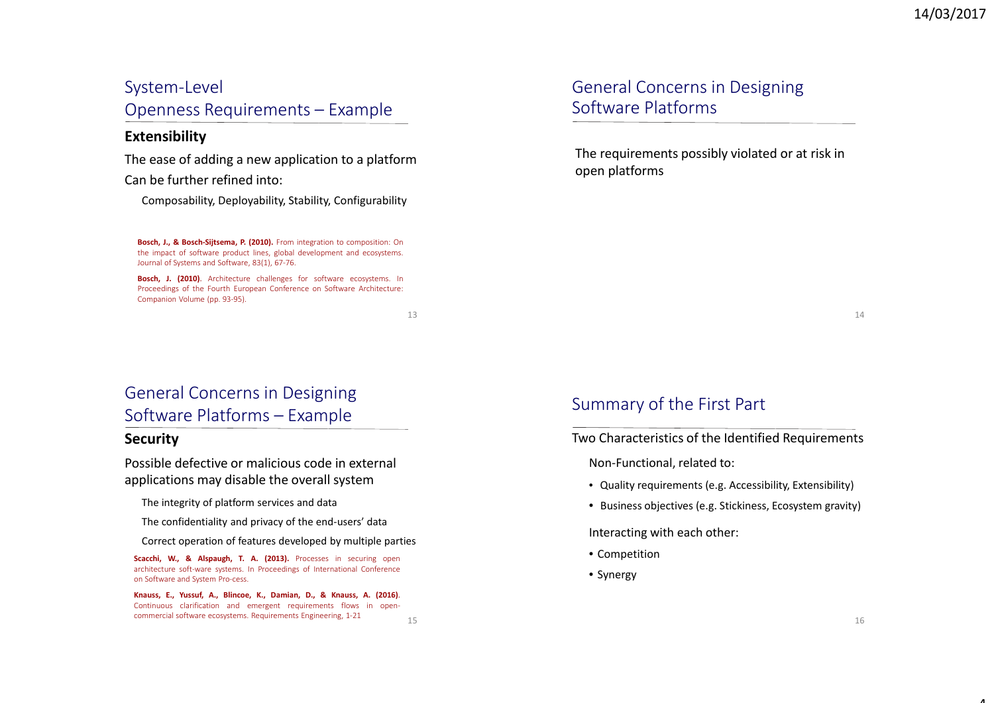### System-Level

Openness Requirements – Example

### **Extensibility**

The ease of adding a new application to a platformCan be further refined into:

Composability, Deployability, Stability, Configurability

**Bosch, J., & Bosch-Sijtsema, P. (2010).** From integration to composition: On the impact of software product lines, global development and ecosystems. Journal of Systems and Software, 83(1), 67-76.

**Bosch, J. (2010)**. Architecture challenges for software ecosystems. In Proceedings of the Fourth European Conference on Software Architecture: Companion Volume (pp. 93-95).

13

15

## General Concerns in Designing Software Platforms

The requirements possibly violated or at risk in open platforms

14

# General Concerns in Designing Software Platforms – Example

### **Security**

Possible defective or malicious code in external applications may disable the overall system

The integrity of platform services and data

The confidentiality and privacy of the end-users' data

Correct operation of features developed by multiple parties

**Scacchi, W., & Alspaugh, T. A. (2013).** Processes in securing open architecture soft-ware systems. In Proceedings of International Conference on Software and System Pro-cess.

**Knauss, E., Yussuf, A., Blincoe, K., Damian, D., & Knauss, A. (2016)**. Continuous clarification and emergent requirements flows in opencommercial software ecosystems. Requirements Engineering, 1-21

## Summary of the First Part

Two Characteristics of the Identified Requirements

Non-Functional, related to:

- Quality requirements (e.g. Accessibility, Extensibility)
- Business objectives (e.g. Stickiness, Ecosystem gravity)

Interacting with each other:

- Competition
- Synergy

 $\overline{a}$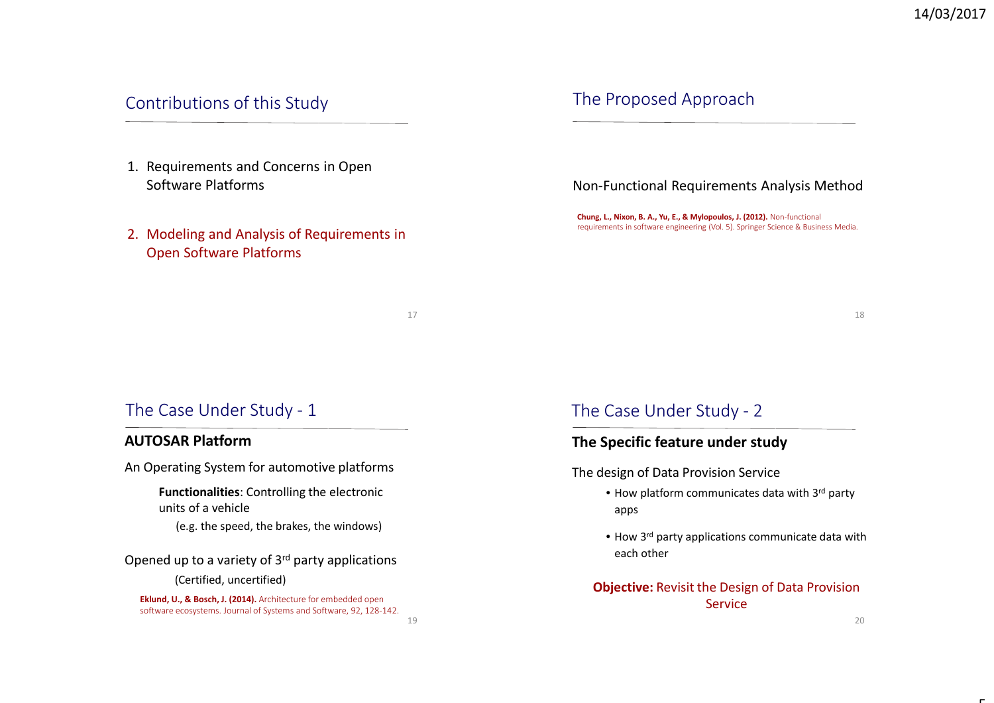## Contributions of this Study

- 1. Requirements and Concerns in Open Software Platforms
- 2. Modeling and Analysis of Requirements in Open Software Platforms

17

19

### The Proposed Approach

#### Non-Functional Requirements Analysis Method

**Chung, L., Nixon, B. A., Yu, E., & Mylopoulos, J. (2012).** Non-functional requirements in software engineering (Vol. 5). Springer Science & Business Media.

18

## The Case Under Study - <sup>1</sup>

### **AUTOSAR Platform**

An Operating System for automotive platforms

**Functionalities**: Controlling the electronic units of a vehicle

(e.g. the speed, the brakes, the windows)

Opened up to a variety of 3rd party applications

(Certified, uncertified)

**Eklund, U., & Bosch, J. (2014).** Architecture for embedded open software ecosystems. Journal of Systems and Software, 92, 128-142.

### The Case Under Study - <sup>2</sup>

### **The Specific feature under study**

The design of Data Provision Service

- How platform communicates data with 3<sup>rd</sup> party apps
- How 3<sup>rd</sup> party applications communicate data with each other

**Objective:** Revisit the Design of Data Provision Service

г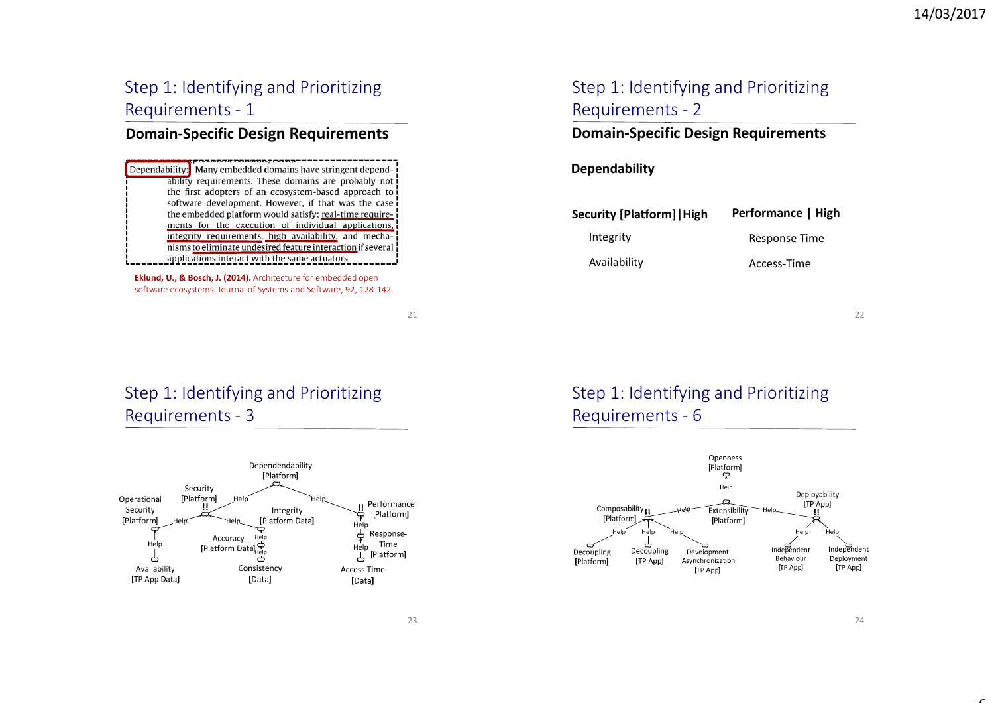# Step 1: Identifying and Prioritizing Requirements - <sup>1</sup>

## **Domain-Specific Design Requirements**

Dependability: Many embedded domains have stringent dependability requirements. These domains are probably not the first adopters of an ecosystem-based approach to software development. However, if that was the case the embedded platform would satisfy; real-time requirements for the execution of individual applications, integrity requirements, high availability, and mechanisms to eliminate undesired feature interaction if several applications interact with the same actuators.

**Eklund, U., & Bosch, J. (2014).** Architecture for embedded open software ecosystems. Journal of Systems and Software, 92, 128-142.

21

## Step 1: Identifying and Prioritizing Requirements - <sup>3</sup>



# Step 1: Identifying and Prioritizing Requirements - <sup>2</sup>

### **Domain-Specific Design Requirements**

### **Dependability**

**Performance | High**Response Time **Security [Platform]|High**IntegrityAvailability

Access-Time

22

# Step 1: Identifying and Prioritizing Requirements - <sup>6</sup>



6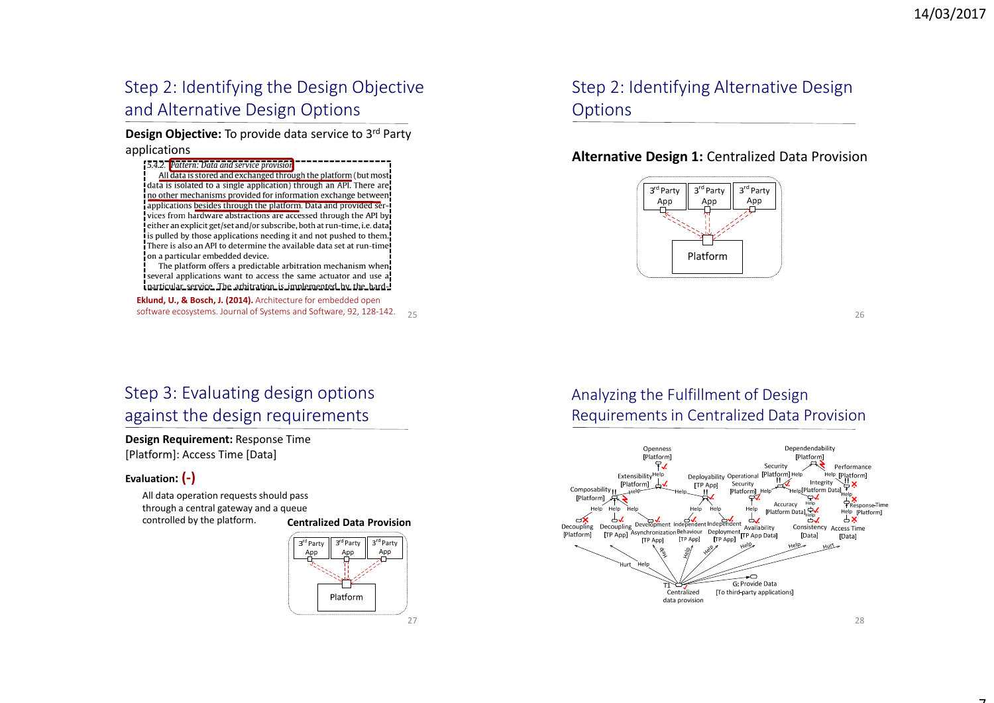# Step 2: Identifying the Design Objective and Alternative Design Options

**Design Objective:** To provide data service to 3rd Party applications

: 5.4.2. Pattern: Data and service provisio All data is stored and exchanged through the platform (but most **data is isolated to a single application**) through an API. There are no other mechanisms provided for information exchange between applications besides through the platform. Data and provided services from hardware abstractions are accessed through the API by either an explicit get/set and/or subscribe, both at run-time, i.e. data is pulled by those applications needing it and not pushed to them. There is also an API to determine the available data set at run-time on a particular embedded device.

The platform offers a predictable arbitration mechanism when several applications want to access the same actuator and use a particular service. The arbitration is implemented by the hard-

software ecosystems. Journal of Systems and Software, 92, 128-142. 25 **Eklund, U., & Bosch, J. (2014).** Architecture for embedded open

# Step 2: Identifying Alternative Design **Options**

### **Alternative Design 1:** Centralized Data Provision



26

# Step 3: Evaluating design options against the design requirements

**Design Requirement:** Response Time [Platform]: Access Time [Data]

#### **Evaluation: (-)**

All data operation requests should pass through a central gateway and a queue controlled by the platform. **Centralized Data Provision**





## Analyzing the Fulfillment of Design Requirements in Centralized Data Provision



28

7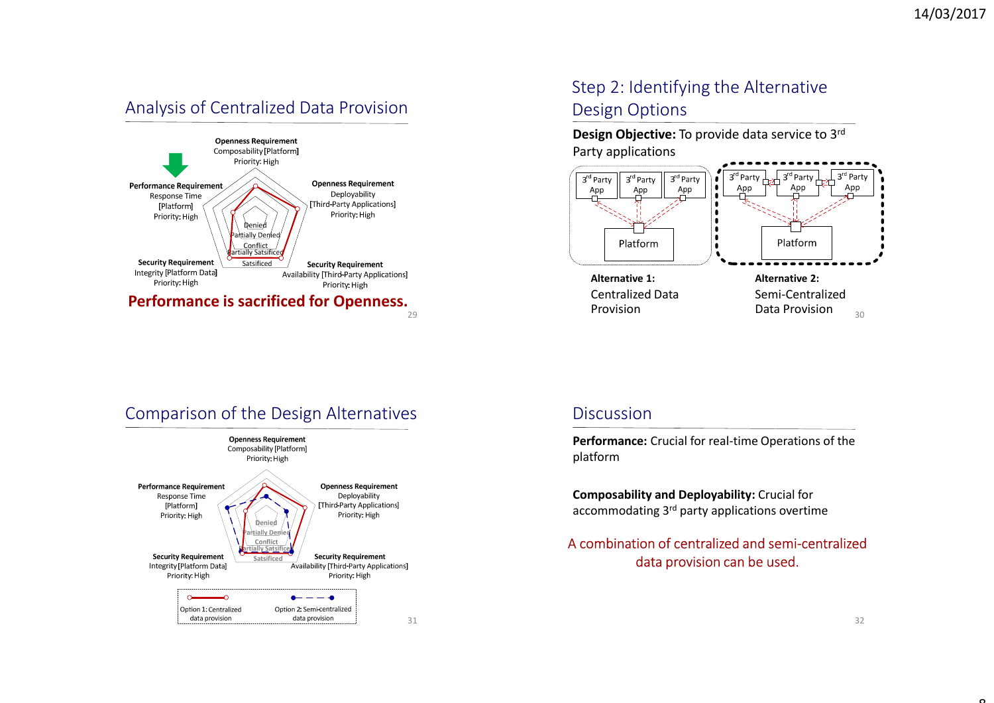## Analysis of Centralized Data Provision



# Step 2: Identifying the Alternative Design Options

**Design Objective:** To provide data service to 3rd Party applications





### **Discussion**

**Performance:** Crucial for real-time Operations of the platform

**Composability and Deployability:** Crucial for accommodating 3<sup>rd</sup> party applications overtime

### A combination of centralized and semi-centralized data provision can be used.

 $\sim$